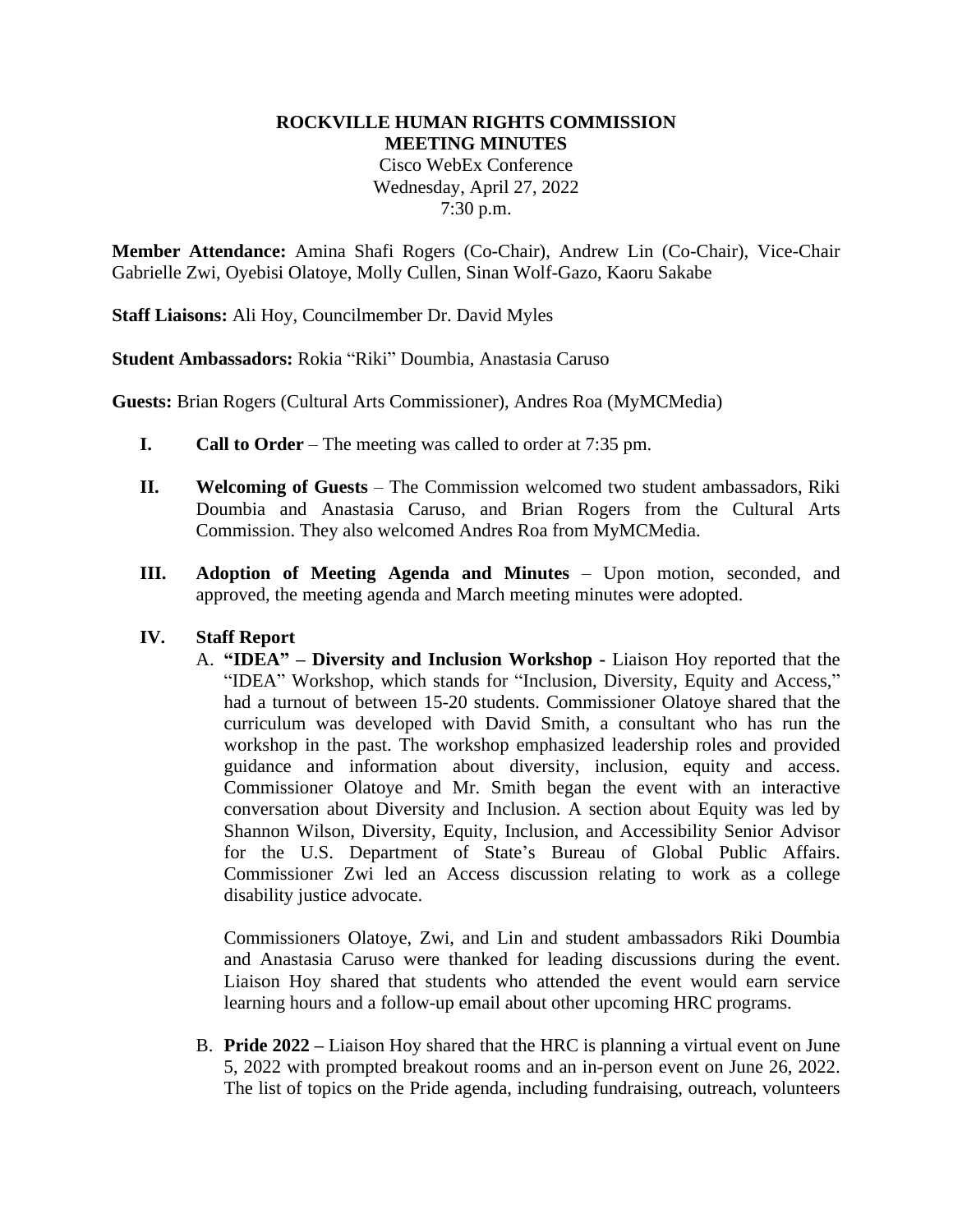# **ROCKVILLE HUMAN RIGHTS COMMISSION MEETING MINUTES** Cisco WebEx Conference Wednesday, April 27, 2022 7:30 p.m.

**Member Attendance:** Amina Shafi Rogers (Co-Chair), Andrew Lin (Co-Chair), Vice-Chair Gabrielle Zwi, Oyebisi Olatoye, Molly Cullen, Sinan Wolf-Gazo, Kaoru Sakabe

**Staff Liaisons:** Ali Hoy, Councilmember Dr. David Myles

**Student Ambassadors:** Rokia "Riki" Doumbia, Anastasia Caruso

**Guests:** Brian Rogers (Cultural Arts Commissioner), Andres Roa (MyMCMedia)

- **I. Call to Order**  The meeting was called to order at 7:35 pm.
- **II. Welcoming of Guests** The Commission welcomed two student ambassadors, Riki Doumbia and Anastasia Caruso, and Brian Rogers from the Cultural Arts Commission. They also welcomed Andres Roa from MyMCMedia.
- **III. Adoption of Meeting Agenda and Minutes** Upon motion, seconded, and approved, the meeting agenda and March meeting minutes were adopted.

### **IV. Staff Report**

A. **"IDEA" – Diversity and Inclusion Workshop -** Liaison Hoy reported that the "IDEA" Workshop, which stands for "Inclusion, Diversity, Equity and Access," had a turnout of between 15-20 students. Commissioner Olatoye shared that the curriculum was developed with David Smith, a consultant who has run the workshop in the past. The workshop emphasized leadership roles and provided guidance and information about diversity, inclusion, equity and access. Commissioner Olatoye and Mr. Smith began the event with an interactive conversation about Diversity and Inclusion. A section about Equity was led by Shannon Wilson, Diversity, Equity, Inclusion, and Accessibility Senior Advisor for the U.S. Department of State's Bureau of Global Public Affairs. Commissioner Zwi led an Access discussion relating to work as a college disability justice advocate.

Commissioners Olatoye, Zwi, and Lin and student ambassadors Riki Doumbia and Anastasia Caruso were thanked for leading discussions during the event. Liaison Hoy shared that students who attended the event would earn service learning hours and a follow-up email about other upcoming HRC programs.

B. **Pride 2022 –** Liaison Hoy shared that the HRC is planning a virtual event on June 5, 2022 with prompted breakout rooms and an in-person event on June 26, 2022. The list of topics on the Pride agenda, including fundraising, outreach, volunteers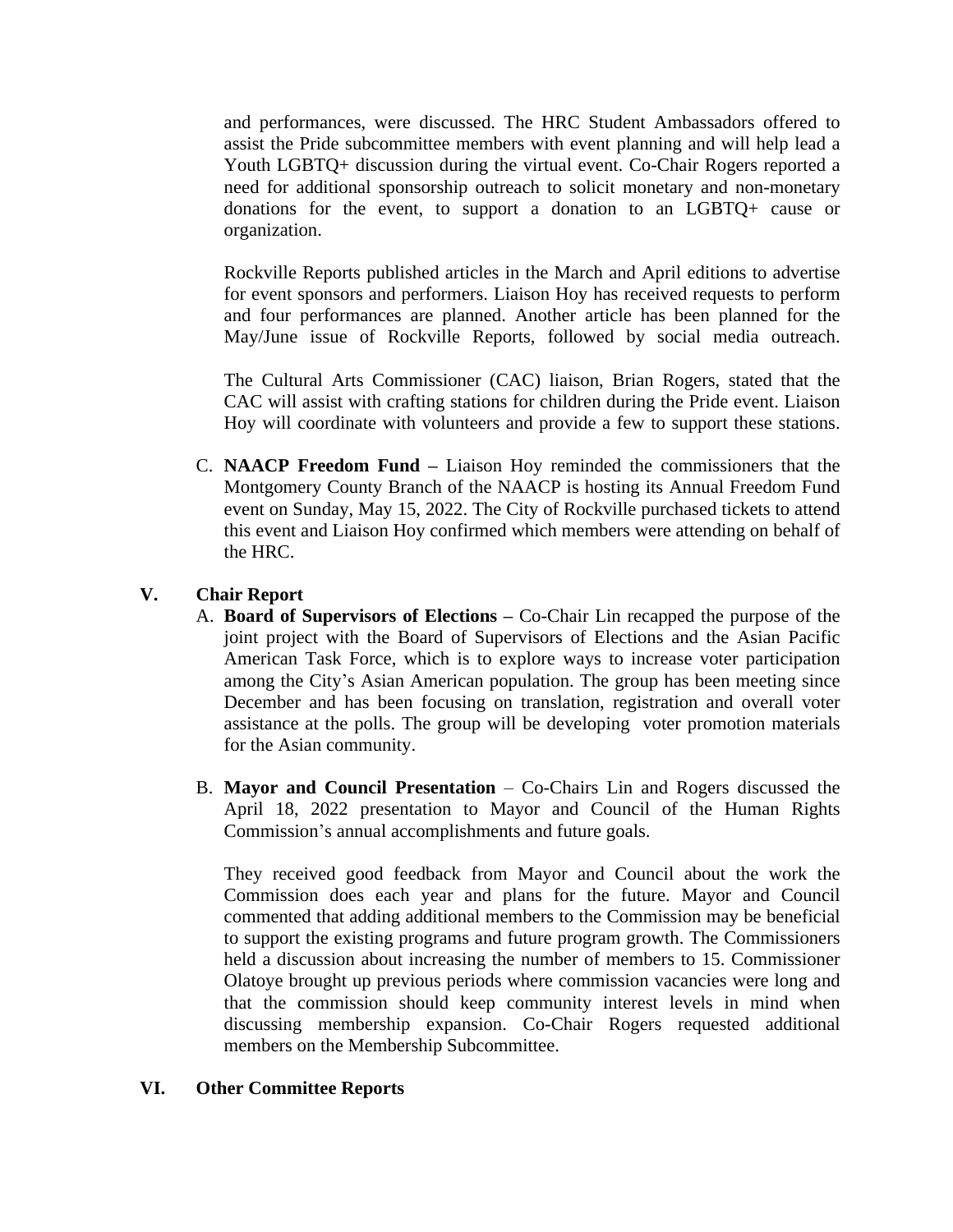and performances, were discussed. The HRC Student Ambassadors offered to assist the Pride subcommittee members with event planning and will help lead a Youth LGBTQ+ discussion during the virtual event. Co-Chair Rogers reported a need for additional sponsorship outreach to solicit monetary and non-monetary donations for the event, to support a donation to an LGBTQ+ cause or organization.

Rockville Reports published articles in the March and April editions to advertise for event sponsors and performers. Liaison Hoy has received requests to perform and four performances are planned. Another article has been planned for the May/June issue of Rockville Reports, followed by social media outreach.

The Cultural Arts Commissioner (CAC) liaison, Brian Rogers, stated that the CAC will assist with crafting stations for children during the Pride event. Liaison Hoy will coordinate with volunteers and provide a few to support these stations.

C. **NAACP Freedom Fund –** Liaison Hoy reminded the commissioners that the Montgomery County Branch of the NAACP is hosting its Annual Freedom Fund event on Sunday, May 15, 2022. The City of Rockville purchased tickets to attend this event and Liaison Hoy confirmed which members were attending on behalf of the HRC.

## **V. Chair Report**

- A. **Board of Supervisors of Elections –** Co-Chair Lin recapped the purpose of the joint project with the Board of Supervisors of Elections and the Asian Pacific American Task Force, which is to explore ways to increase voter participation among the City's Asian American population. The group has been meeting since December and has been focusing on translation, registration and overall voter assistance at the polls. The group will be developing voter promotion materials for the Asian community.
- B. **Mayor and Council Presentation** Co-Chairs Lin and Rogers discussed the April 18, 2022 presentation to Mayor and Council of the Human Rights Commission's annual accomplishments and future goals.

They received good feedback from Mayor and Council about the work the Commission does each year and plans for the future. Mayor and Council commented that adding additional members to the Commission may be beneficial to support the existing programs and future program growth. The Commissioners held a discussion about increasing the number of members to 15. Commissioner Olatoye brought up previous periods where commission vacancies were long and that the commission should keep community interest levels in mind when discussing membership expansion. Co-Chair Rogers requested additional members on the Membership Subcommittee.

## **VI. Other Committee Reports**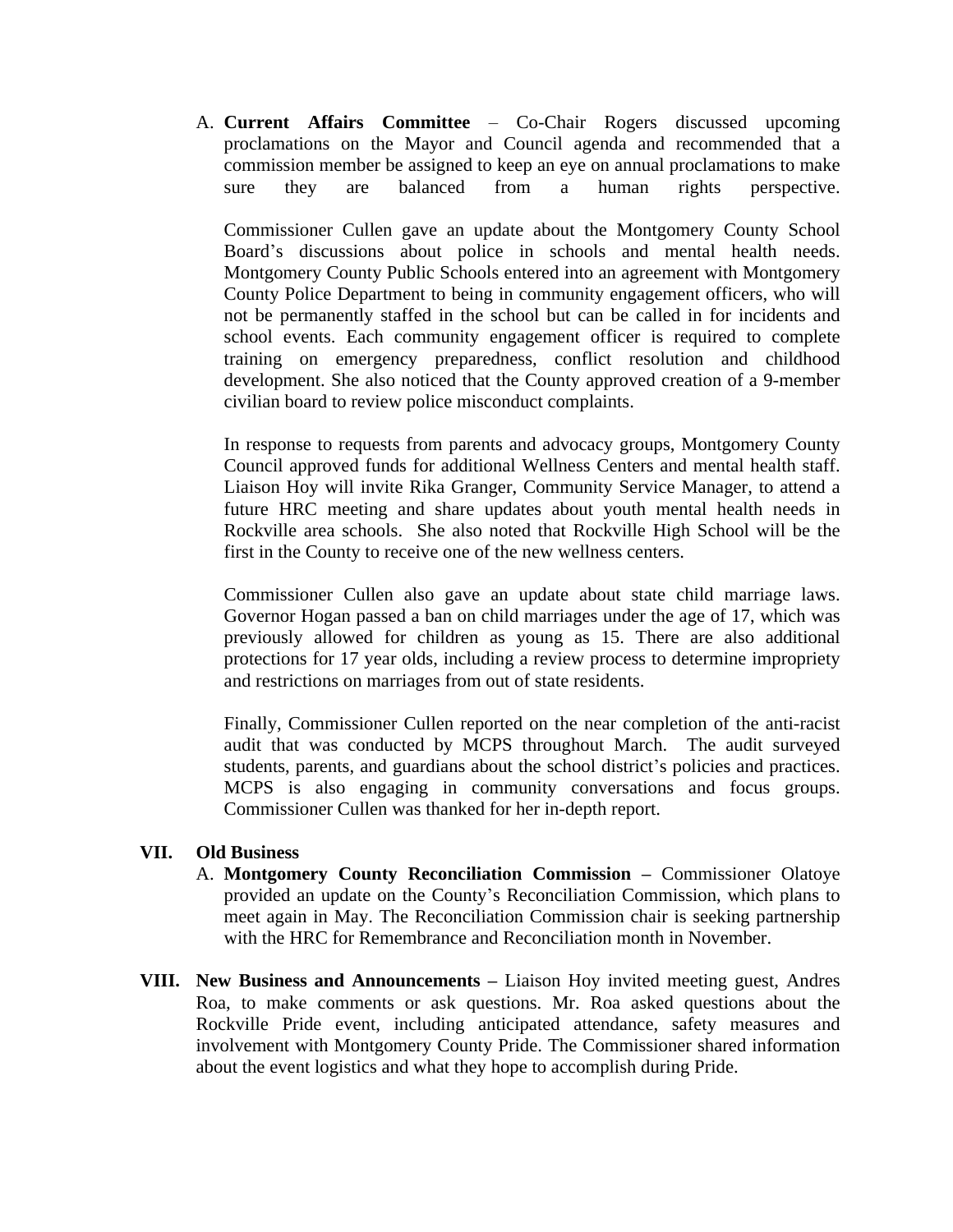A. **Current Affairs Committee** – Co-Chair Rogers discussed upcoming proclamations on the Mayor and Council agenda and recommended that a commission member be assigned to keep an eye on annual proclamations to make sure they are balanced from a human rights perspective.

Commissioner Cullen gave an update about the Montgomery County School Board's discussions about police in schools and mental health needs. Montgomery County Public Schools entered into an agreement with Montgomery County Police Department to being in community engagement officers, who will not be permanently staffed in the school but can be called in for incidents and school events. Each community engagement officer is required to complete training on emergency preparedness, conflict resolution and childhood development. She also noticed that the County approved creation of a 9-member civilian board to review police misconduct complaints.

In response to requests from parents and advocacy groups, Montgomery County Council approved funds for additional Wellness Centers and mental health staff. Liaison Hoy will invite Rika Granger, Community Service Manager, to attend a future HRC meeting and share updates about youth mental health needs in Rockville area schools. She also noted that Rockville High School will be the first in the County to receive one of the new wellness centers.

Commissioner Cullen also gave an update about state child marriage laws. Governor Hogan passed a ban on child marriages under the age of 17, which was previously allowed for children as young as 15. There are also additional protections for 17 year olds, including a review process to determine impropriety and restrictions on marriages from out of state residents.

Finally, Commissioner Cullen reported on the near completion of the anti-racist audit that was conducted by MCPS throughout March. The audit surveyed students, parents, and guardians about the school district's policies and practices. MCPS is also engaging in community conversations and focus groups. Commissioner Cullen was thanked for her in-depth report.

### **VII. Old Business**

- A. **Montgomery County Reconciliation Commission –** Commissioner Olatoye provided an update on the County's Reconciliation Commission, which plans to meet again in May. The Reconciliation Commission chair is seeking partnership with the HRC for Remembrance and Reconciliation month in November.
- **VIII. New Business and Announcements –** Liaison Hoy invited meeting guest, Andres Roa, to make comments or ask questions. Mr. Roa asked questions about the Rockville Pride event, including anticipated attendance, safety measures and involvement with Montgomery County Pride. The Commissioner shared information about the event logistics and what they hope to accomplish during Pride.